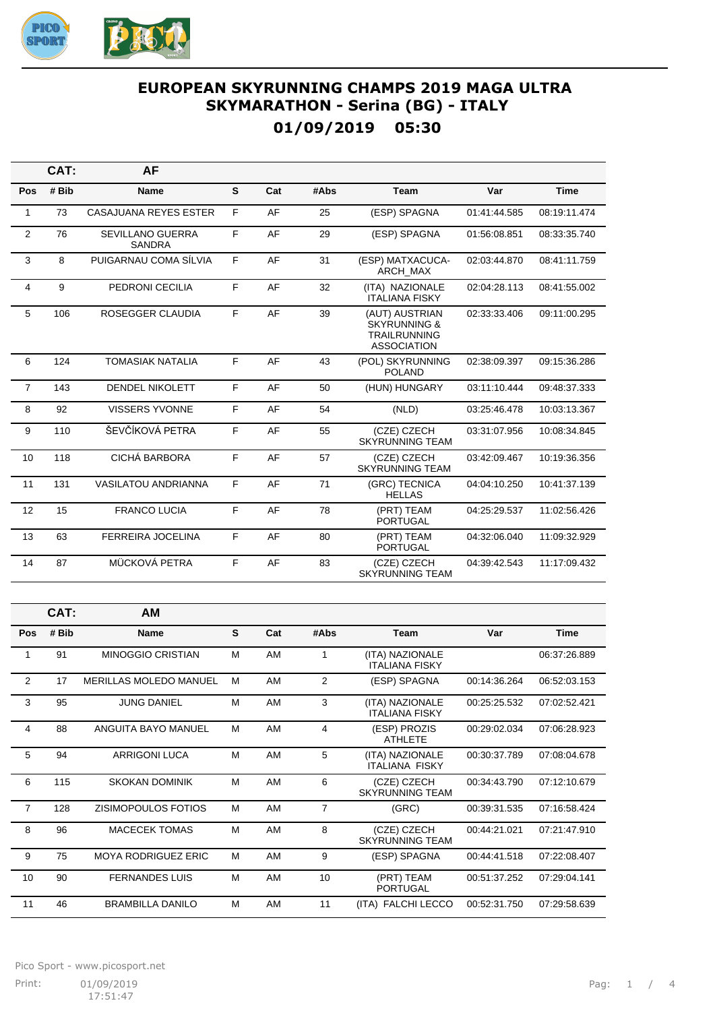

## EUROPEAN SKYRUNNING CHAMPS 2019 MAGA ULTRA **SKYMARATHON - Serina (BG) - ITALY** 01/09/2019 05:30

|                | CAT:  | <b>AF</b>                         |    |     |      |                                                                                        |              |              |
|----------------|-------|-----------------------------------|----|-----|------|----------------------------------------------------------------------------------------|--------------|--------------|
| Pos            | # Bib | Name                              | S  | Cat | #Abs | Team                                                                                   | Var          | <b>Time</b>  |
| $\mathbf{1}$   | 73    | <b>CASAJUANA REYES ESTER</b>      | F. | AF  | 25   | (ESP) SPAGNA                                                                           | 01:41:44.585 | 08:19:11.474 |
| 2              | 76    | SEVILLANO GUERRA<br><b>SANDRA</b> | F  | AF  | 29   | (ESP) SPAGNA                                                                           | 01:56:08.851 | 08:33:35.740 |
| 3              | 8     | PUIGARNAU COMA SÍLVIA             | F  | AF  | 31   | (ESP) MATXACUCA-<br>ARCH MAX                                                           | 02:03:44.870 | 08:41:11.759 |
| 4              | 9     | PEDRONI CECILIA                   | F  | AF  | 32   | (ITA) NAZIONALE<br><b>ITALIANA FISKY</b>                                               | 02:04:28.113 | 08:41:55.002 |
| 5              | 106   | <b>ROSEGGER CLAUDIA</b>           | F  | AF  | 39   | (AUT) AUSTRIAN<br><b>SKYRUNNING &amp;</b><br><b>TRAILRUNNING</b><br><b>ASSOCIATION</b> | 02:33:33.406 | 09:11:00.295 |
| 6              | 124   | <b>TOMASIAK NATALIA</b>           | F  | AF  | 43   | (POL) SKYRUNNING<br><b>POLAND</b>                                                      | 02:38:09.397 | 09:15:36.286 |
| $\overline{7}$ | 143   | <b>DENDEL NIKOLETT</b>            | F. | AF  | 50   | (HUN) HUNGARY                                                                          | 03:11:10.444 | 09:48:37.333 |
| 8              | 92    | <b>VISSERS YVONNE</b>             | F  | AF  | 54   | (NLD)                                                                                  | 03:25:46.478 | 10:03:13.367 |
| 9              | 110   | ŠEVČÍKOVÁ PETRA                   | F. | AF  | 55   | (CZE) CZECH<br><b>SKYRUNNING TEAM</b>                                                  | 03:31:07.956 | 10:08:34.845 |
| 10             | 118   | CICHÁ BARBORA                     | F  | AF  | 57   | (CZE) CZECH<br><b>SKYRUNNING TEAM</b>                                                  | 03:42:09.467 | 10:19:36.356 |
| 11             | 131   | <b>VASILATOU ANDRIANNA</b>        | F  | AF  | 71   | (GRC) TECNICA<br><b>HELLAS</b>                                                         | 04:04:10.250 | 10:41:37.139 |
| 12             | 15    | <b>FRANCO LUCIA</b>               | F  | AF  | 78   | (PRT) TEAM<br><b>PORTUGAL</b>                                                          | 04:25:29.537 | 11:02:56.426 |
| 13             | 63    | <b>FERREIRA JOCELINA</b>          | F  | AF  | 80   | (PRT) TEAM<br><b>PORTUGAL</b>                                                          | 04:32:06.040 | 11:09:32.929 |
| 14             | 87    | MÜCKOVÁ PETRA                     | F  | AF  | 83   | (CZE) CZECH<br><b>SKYRUNNING TEAM</b>                                                  | 04:39:42.543 | 11:17:09.432 |
|                |       |                                   |    |     |      |                                                                                        |              |              |
|                | CAT:  | AM                                |    |     |      |                                                                                        |              |              |
| Pos            | # Bib | <b>Name</b>                       | S  | Cat | #Abs | <b>Team</b>                                                                            | Var          | <b>Time</b>  |

| Pos            | # Bib | Name                          | S | Cat | #Abs           | <b>Team</b>                              | Var          | <b>Time</b>  |
|----------------|-------|-------------------------------|---|-----|----------------|------------------------------------------|--------------|--------------|
| 1              | 91    | <b>MINOGGIO CRISTIAN</b>      | M | AM  | 1              | (ITA) NAZIONALE<br><b>ITALIANA FISKY</b> |              | 06:37:26.889 |
| 2              | 17    | <b>MERILLAS MOLEDO MANUEL</b> | M | AM  | 2              | (ESP) SPAGNA                             | 00:14:36.264 | 06:52:03.153 |
| 3              | 95    | <b>JUNG DANIEL</b>            | M | AM  | 3              | (ITA) NAZIONALE<br><b>ITALIANA FISKY</b> | 00:25:25.532 | 07:02:52.421 |
| 4              | 88    | ANGUITA BAYO MANUEL           | M | AM  | 4              | (ESP) PROZIS<br><b>ATHLETE</b>           | 00:29:02.034 | 07:06:28.923 |
| 5              | 94    | <b>ARRIGONI LUCA</b>          | M | AM  | 5              | (ITA) NAZIONALE<br><b>ITALIANA FISKY</b> | 00:30:37.789 | 07:08:04.678 |
| 6              | 115   | <b>SKOKAN DOMINIK</b>         | M | AM  | 6              | (CZE) CZECH<br><b>SKYRUNNING TEAM</b>    | 00:34:43.790 | 07:12:10.679 |
| $\overline{7}$ | 128   | ZISIMOPOULOS FOTIOS           | M | AM  | $\overline{7}$ | (GRC)                                    | 00:39:31.535 | 07:16:58.424 |
| 8              | 96    | <b>MACECEK TOMAS</b>          | M | AM  | 8              | (CZE) CZECH<br><b>SKYRUNNING TEAM</b>    | 00:44:21.021 | 07:21:47.910 |
| 9              | 75    | <b>MOYA RODRIGUEZ ERIC</b>    | M | AM  | 9              | (ESP) SPAGNA                             | 00:44:41.518 | 07:22:08.407 |
| 10             | 90    | <b>FERNANDES LUIS</b>         | M | AM  | 10             | (PRT) TEAM<br><b>PORTUGAL</b>            | 00:51:37.252 | 07:29:04.141 |
| 11             | 46    | <b>BRAMBILLA DANILO</b>       | М | AM  | 11             | (ITA) FALCHI LECCO                       | 00:52:31.750 | 07:29:58.639 |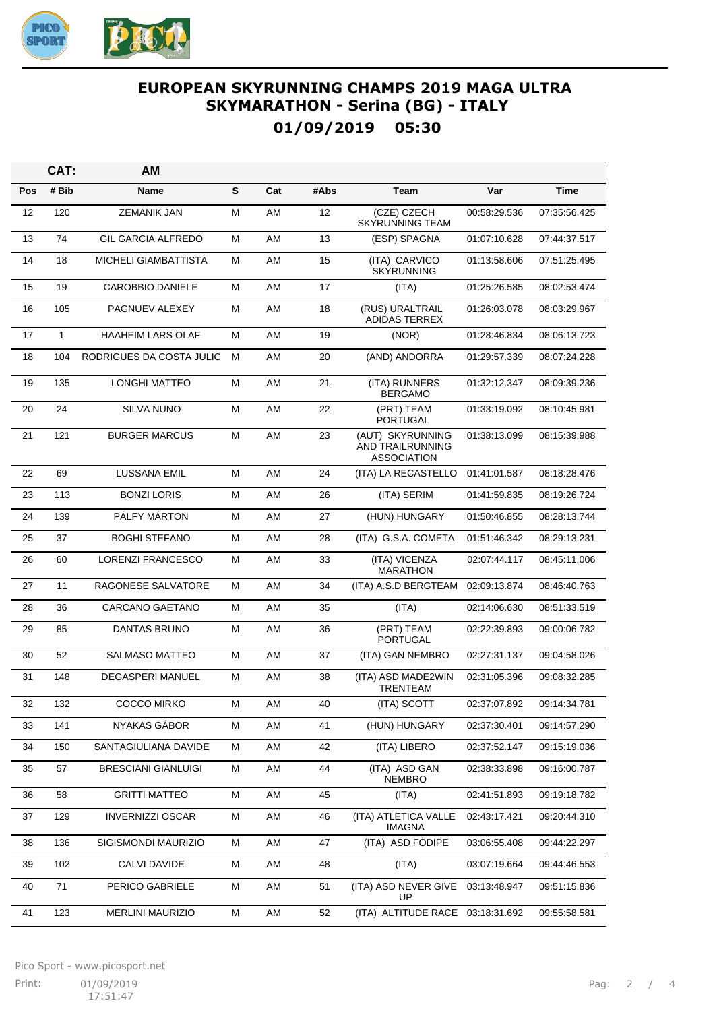

## **EUROPEAN SKYRUNNING CHAMPS 2019 MAGA ULTRA SKYMARATHON - Serina (BG) - ITALY 01/09/2019 05:30**

|     | CAT:  | AM                          |   |     |      |                                                            |              |              |
|-----|-------|-----------------------------|---|-----|------|------------------------------------------------------------|--------------|--------------|
| Pos | # Bib | Name                        | S | Cat | #Abs | Team                                                       | Var          | <b>Time</b>  |
| 12  | 120   | <b>ZEMANIK JAN</b>          | М | AM  | 12   | (CZE) CZECH<br><b>SKYRUNNING TEAM</b>                      | 00:58:29.536 | 07:35:56.425 |
| 13  | 74    | <b>GIL GARCIA ALFREDO</b>   | М | AM  | 13   | (ESP) SPAGNA                                               | 01:07:10.628 | 07:44:37.517 |
| 14  | 18    | <b>MICHELI GIAMBATTISTA</b> | М | AM  | 15   | (ITA) CARVICO<br><b>SKYRUNNING</b>                         | 01:13:58.606 | 07:51:25.495 |
| 15  | 19    | <b>CAROBBIO DANIELE</b>     | М | AM  | 17   | (ITA)                                                      | 01:25:26.585 | 08:02:53.474 |
| 16  | 105   | PAGNUEV ALEXEY              | М | AM  | 18   | (RUS) URALTRAIL<br>ADIDAS TERREX                           | 01:26:03.078 | 08:03:29.967 |
| 17  | 1     | <b>HAAHEIM LARS OLAF</b>    | М | AM  | 19   | (NOR)                                                      | 01:28:46.834 | 08:06:13.723 |
| 18  | 104   | RODRIGUES DA COSTA JULIO    | M | AM  | 20   | (AND) ANDORRA                                              | 01:29:57.339 | 08:07:24.228 |
| 19  | 135   | <b>LONGHI MATTEO</b>        | М | AM  | 21   | (ITA) RUNNERS<br><b>BERGAMO</b>                            | 01:32:12.347 | 08:09:39.236 |
| 20  | 24    | <b>SILVA NUNO</b>           | М | AM  | 22   | (PRT) TEAM<br>PORTUGAL                                     | 01:33:19.092 | 08:10:45.981 |
| 21  | 121   | <b>BURGER MARCUS</b>        | М | AM  | 23   | (AUT) SKYRUNNING<br>AND TRAILRUNNING<br><b>ASSOCIATION</b> | 01:38:13.099 | 08:15:39.988 |
| 22  | 69    | <b>LUSSANA EMIL</b>         | М | AM  | 24   | (ITA) LA RECASTELLO                                        | 01:41:01.587 | 08:18:28.476 |
| 23  | 113   | <b>BONZI LORIS</b>          | М | AM  | 26   | (ITA) SERIM                                                | 01:41:59.835 | 08:19:26.724 |
| 24  | 139   | PÁLFY MÁRTON                | М | AM  | 27   | (HUN) HUNGARY                                              | 01:50:46.855 | 08:28:13.744 |
| 25  | 37    | <b>BOGHI STEFANO</b>        | М | AM  | 28   | (ITA) G.S.A. COMETA                                        | 01:51:46.342 | 08:29:13.231 |
| 26  | 60    | <b>LORENZI FRANCESCO</b>    | М | AM  | 33   | (ITA) VICENZA<br><b>MARATHON</b>                           | 02:07:44.117 | 08:45:11.006 |
| 27  | 11    | RAGONESE SALVATORE          | м | AM  | 34   | (ITA) A.S.D BERGTEAM                                       | 02:09:13.874 | 08:46:40.763 |
| 28  | 36    | CARCANO GAETANO             | М | AM  | 35   | (ITA)                                                      | 02:14:06.630 | 08:51:33.519 |
| 29  | 85    | DANTAS BRUNO                | М | AM  | 36   | (PRT) TEAM<br><b>PORTUGAL</b>                              | 02:22:39.893 | 09:00:06.782 |
| 30  | 52    | <b>SALMASO MATTEO</b>       | M | AM  | 37   | (ITA) GAN NEMBRO                                           | 02:27:31.137 | 09:04:58.026 |
| 31  | 148   | <b>DEGASPERI MANUEL</b>     | М | AM  | 38   | (ITA) ASD MADE2WIN<br><b>TRENTEAM</b>                      | 02:31:05.396 | 09:08:32.285 |
| 32  | 132   | <b>COCCO MIRKO</b>          | М | AM  | 40   | (ITA) SCOTT                                                | 02:37:07.892 | 09:14:34.781 |
| 33  | 141   | NYAKAS GÁBOR                | Μ | AM  | 41   | (HUN) HUNGARY                                              | 02:37:30.401 | 09:14:57.290 |
| 34  | 150   | SANTAGIULIANA DAVIDE        | Μ | AM  | 42   | (ITA) LIBERO                                               | 02:37:52.147 | 09:15:19.036 |
| 35  | 57    | <b>BRESCIANI GIANLUIGI</b>  | Μ | AM  | 44   | (ITA) ASD GAN<br><b>NEMBRO</b>                             | 02:38:33.898 | 09:16:00.787 |
| 36  | 58    | <b>GRITTI MATTEO</b>        | М | AM  | 45   | (ITA)                                                      | 02:41:51.893 | 09:19:18.782 |
| 37  | 129   | <b>INVERNIZZI OSCAR</b>     | M | AM  | 46   | (ITA) ATLETICA VALLE<br>IMAGNA                             | 02:43:17.421 | 09:20:44.310 |
| 38  | 136   | SIGISMONDI MAURIZIO         | М | AM  | 47   | (ITA) ASD FODIPE                                           | 03:06:55.408 | 09:44:22.297 |
| 39  | 102   | CALVI DAVIDE                | М | AM  | 48   | (ITA)                                                      | 03:07:19.664 | 09:44:46.553 |
| 40  | 71    | PERICO GABRIELE             | M | AM  | 51   | (ITA) ASD NEVER GIVE<br>UP                                 | 03:13:48.947 | 09:51:15.836 |
| 41  | 123   | MERLINI MAURIZIO            | М | AM  | 52   | (ITA) ALTITUDE RACE 03:18:31.692                           |              | 09:55:58.581 |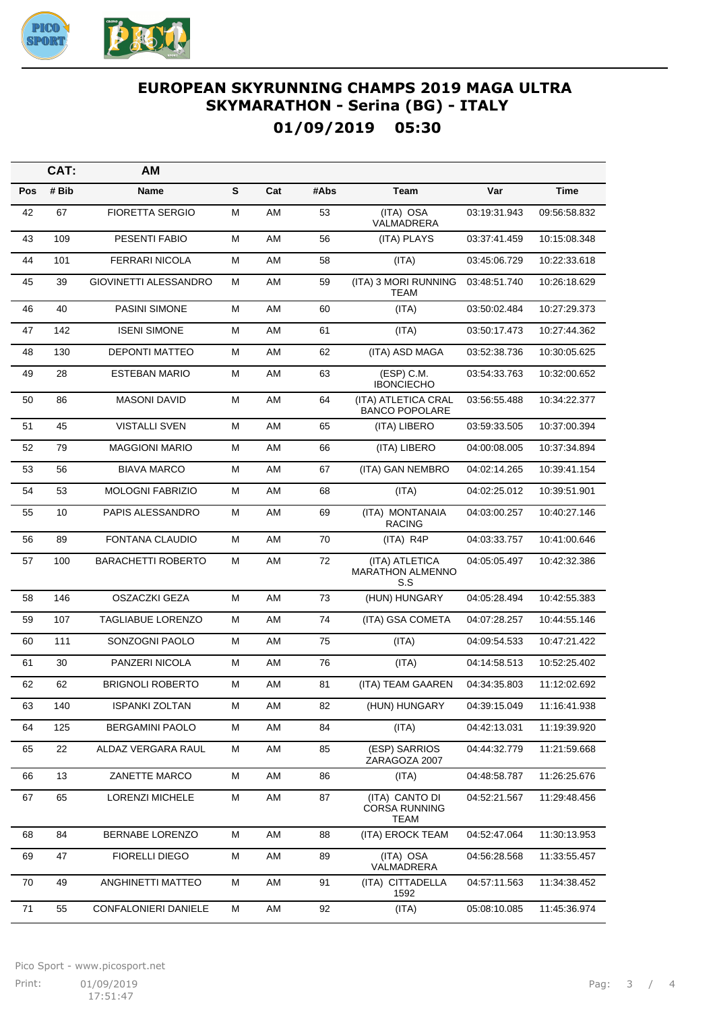

## **EUROPEAN SKYRUNNING CHAMPS 2019 MAGA ULTRA SKYMARATHON - Serina (BG) - ITALY 01/09/2019 05:30**

|     | CAT:  | AM                        |   |     |      |                                                  |              |              |
|-----|-------|---------------------------|---|-----|------|--------------------------------------------------|--------------|--------------|
| Pos | # Bib | <b>Name</b>               | S | Cat | #Abs | <b>Team</b>                                      | Var          | <b>Time</b>  |
| 42  | 67    | <b>FIORETTA SERGIO</b>    | M | AM  | 53   | (ITA) OSA<br>VALMADRERA                          | 03:19:31.943 | 09:56:58.832 |
| 43  | 109   | PESENTI FABIO             | Μ | AM  | 56   | (ITA) PLAYS                                      | 03:37:41.459 | 10:15:08.348 |
| 44  | 101   | <b>FERRARI NICOLA</b>     | М | AM  | 58   | (ITA)                                            | 03:45:06.729 | 10:22:33.618 |
| 45  | 39    | GIOVINETTI ALESSANDRO     | М | AM  | 59   | (ITA) 3 MORI RUNNING<br><b>TEAM</b>              | 03:48:51.740 | 10:26:18.629 |
| 46  | 40    | PASINI SIMONE             | М | AM  | 60   | (ITA)                                            | 03:50:02.484 | 10:27:29.373 |
| 47  | 142   | <b>ISENI SIMONE</b>       | М | AM  | 61   | (ITA)                                            | 03:50:17.473 | 10:27:44.362 |
| 48  | 130   | DEPONTI MATTEO            | Μ | AM  | 62   | (ITA) ASD MAGA                                   | 03:52:38.736 | 10:30:05.625 |
| 49  | 28    | <b>ESTEBAN MARIO</b>      | М | AM  | 63   | $(ESP)$ C.M.<br><b>IBONCIECHO</b>                | 03:54:33.763 | 10:32:00.652 |
| 50  | 86    | <b>MASONI DAVID</b>       | M | AM  | 64   | (ITA) ATLETICA CRAL<br><b>BANCO POPOLARE</b>     | 03:56:55.488 | 10:34:22.377 |
| 51  | 45    | <b>VISTALLI SVEN</b>      | Μ | AM  | 65   | (ITA) LIBERO                                     | 03:59:33.505 | 10:37:00.394 |
| 52  | 79    | <b>MAGGIONI MARIO</b>     | М | AM  | 66   | (ITA) LIBERO                                     | 04:00:08.005 | 10:37:34.894 |
| 53  | 56    | <b>BIAVA MARCO</b>        | Μ | AM  | 67   | (ITA) GAN NEMBRO                                 | 04:02:14.265 | 10:39:41.154 |
| 54  | 53    | <b>MOLOGNI FABRIZIO</b>   | М | AM  | 68   | (ITA)                                            | 04:02:25.012 | 10:39:51.901 |
| 55  | 10    | PAPIS ALESSANDRO          | Μ | AM  | 69   | (ITA) MONTANAIA<br><b>RACING</b>                 | 04:03:00.257 | 10:40:27.146 |
| 56  | 89    | FONTANA CLAUDIO           | M | AM  | 70   | (ITA) R4P                                        | 04:03:33.757 | 10:41:00.646 |
| 57  | 100   | <b>BARACHETTI ROBERTO</b> | M | AM  | 72   | (ITA) ATLETICA<br><b>MARATHON ALMENNO</b><br>S.S | 04:05:05.497 | 10:42:32.386 |
| 58  | 146   | <b>OSZACZKI GEZA</b>      | M | AM  | 73   | (HUN) HUNGARY                                    | 04:05:28.494 | 10:42:55.383 |
| 59  | 107   | <b>TAGLIABUE LORENZO</b>  | Μ | AM  | 74   | (ITA) GSA COMETA                                 | 04:07:28.257 | 10:44:55.146 |
| 60  | 111   | SONZOGNI PAOLO            | Μ | AM  | 75   | (ITA)                                            | 04:09:54.533 | 10:47:21.422 |
| 61  | 30    | PANZERI NICOLA            | M | AM  | 76   | (ITA)                                            | 04:14:58.513 | 10:52:25.402 |
| 62  | 62    | <b>BRIGNOLI ROBERTO</b>   | M | AM  | 81   | (ITA) TEAM GAAREN                                | 04:34:35.803 | 11:12:02.692 |
| 63  | 140   | <b>ISPANKI ZOLTAN</b>     | M | AM  | 82   | (HUN) HUNGARY                                    | 04:39:15.049 | 11:16:41.938 |
| 64  | 125   | <b>BERGAMINI PAOLO</b>    | М | AM  | 84   | (ITA)                                            | 04:42:13.031 | 11:19:39.920 |
| 65  | 22    | ALDAZ VERGARA RAUL        | М | AM  | 85   | (ESP) SARRIOS<br>ZARAGOZA 2007                   | 04:44:32.779 | 11:21:59.668 |
| 66  | 13    | ZANETTE MARCO             | М | AM  | 86   | (ITA)                                            | 04:48:58.787 | 11:26:25.676 |
| 67  | 65    | <b>LORENZI MICHELE</b>    | М | AM  | 87   | (ITA) CANTO DI<br><b>CORSA RUNNING</b><br>TEAM   | 04:52:21.567 | 11:29:48.456 |
| 68  | 84    | BERNABE LORENZO           | M | AM  | 88   | (ITA) EROCK TEAM                                 | 04:52:47.064 | 11:30:13.953 |
| 69  | 47    | <b>FIORELLI DIEGO</b>     | М | AM  | 89   | (ITA) OSA<br>VALMADRERA                          | 04:56:28.568 | 11:33:55.457 |
| 70  | 49    | ANGHINETTI MATTEO         | М | AM  | 91   | (ITA) CITTADELLA<br>1592                         | 04:57:11.563 | 11:34:38.452 |
| 71  | 55    | CONFALONIERI DANIELE      | М | AM  | 92   | (ITA)                                            | 05:08:10.085 | 11:45:36.974 |